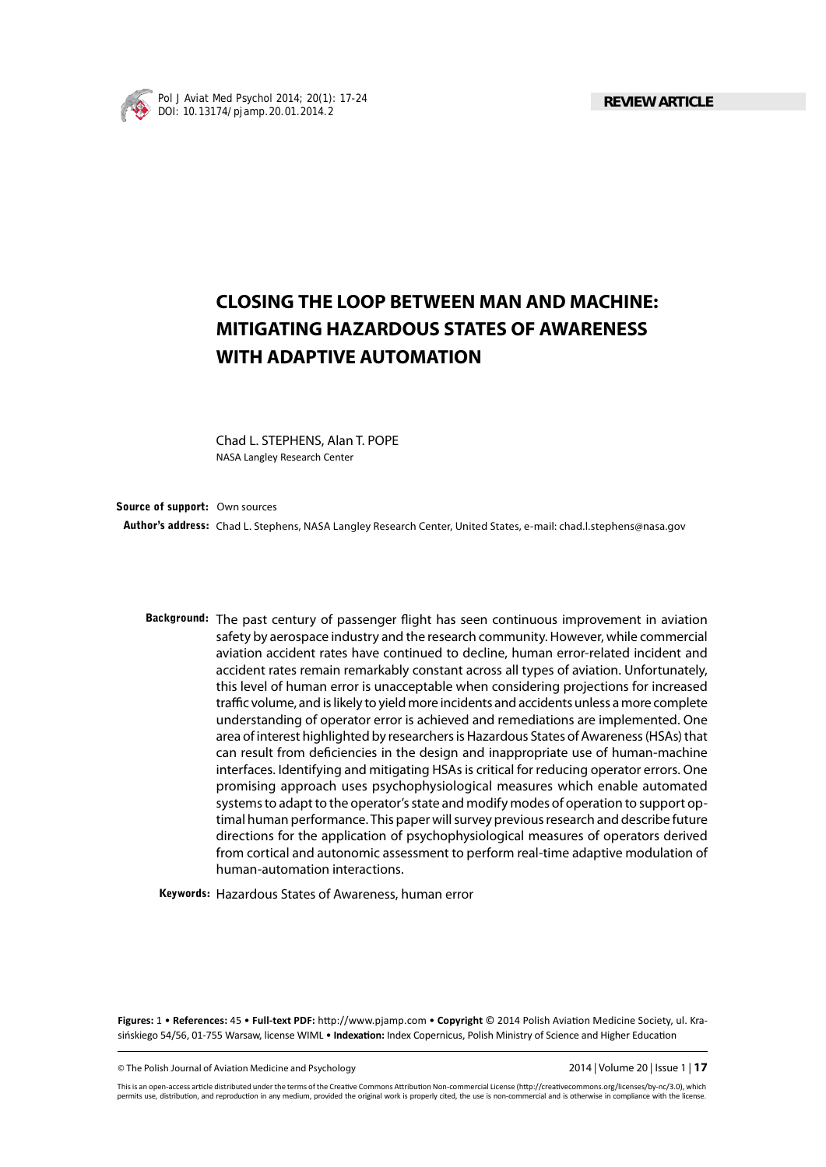

# **CLOSING THE LOOP BETWEEN MAN AND MACHINE: MITIGATING HAZARDOUS STATES OF AWARENESS WITH ADAPTIVE AUTOMATION**

Chad L. STEPHENS, Alan T. POPE NASA Langley Research Center

**Author's address:** Chad L. Stephens, NASA Langley Research Center, United States, e-mail: chad.l.stephens@nasa.gov **Source of support:** Own sources

Background: The past century of passenger flight has seen continuous improvement in aviation safety by aerospace industry and the research community. However, while commercial aviation accident rates have continued to decline, human error-related incident and accident rates remain remarkably constant across all types of aviation. Unfortunately, this level of human error is unacceptable when considering projections for increased traffic volume, and is likely to yield more incidents and accidents unless a more complete understanding of operator error is achieved and remediations are implemented. One area of interest highlighted by researchers is Hazardous States of Awareness (HSAs) that can result from deficiencies in the design and inappropriate use of human-machine interfaces. Identifying and mitigating HSAs is critical for reducing operator errors. One promising approach uses psychophysiological measures which enable automated systems to adapt to the operator's state and modify modes of operation to support optimal human performance. This paper will survey previous research and describe future directions for the application of psychophysiological measures of operators derived from cortical and autonomic assessment to perform real-time adaptive modulation of human-automation interactions.

**Keywords:** Hazardous States of Awareness, human error

**Figures: 1 • References: 45 • Full-text PDF: http://www.pjamp.com • Copyright © 2014 Polish Aviation Medicine Society, ul. Kra**sińskiego 54/56, 01-755 Warsaw, license WIML • Indexation: Index Copernicus, Polish Ministry of Science and Higher Education

© The Polish Journal of Aviation Medicine and Psychology 2014 | Volume 20 | Issue 1 | **17**

This is an open-access article distributed under the terms of the Creative Commons Attribution Non-commercial License (http://creativecommons.org/licenses/by-nc/3.0), which permits use, distribution, and reproduction in any medium, provided the original work is properly cited, the use is non-commercial and is otherwise in compliance with the license.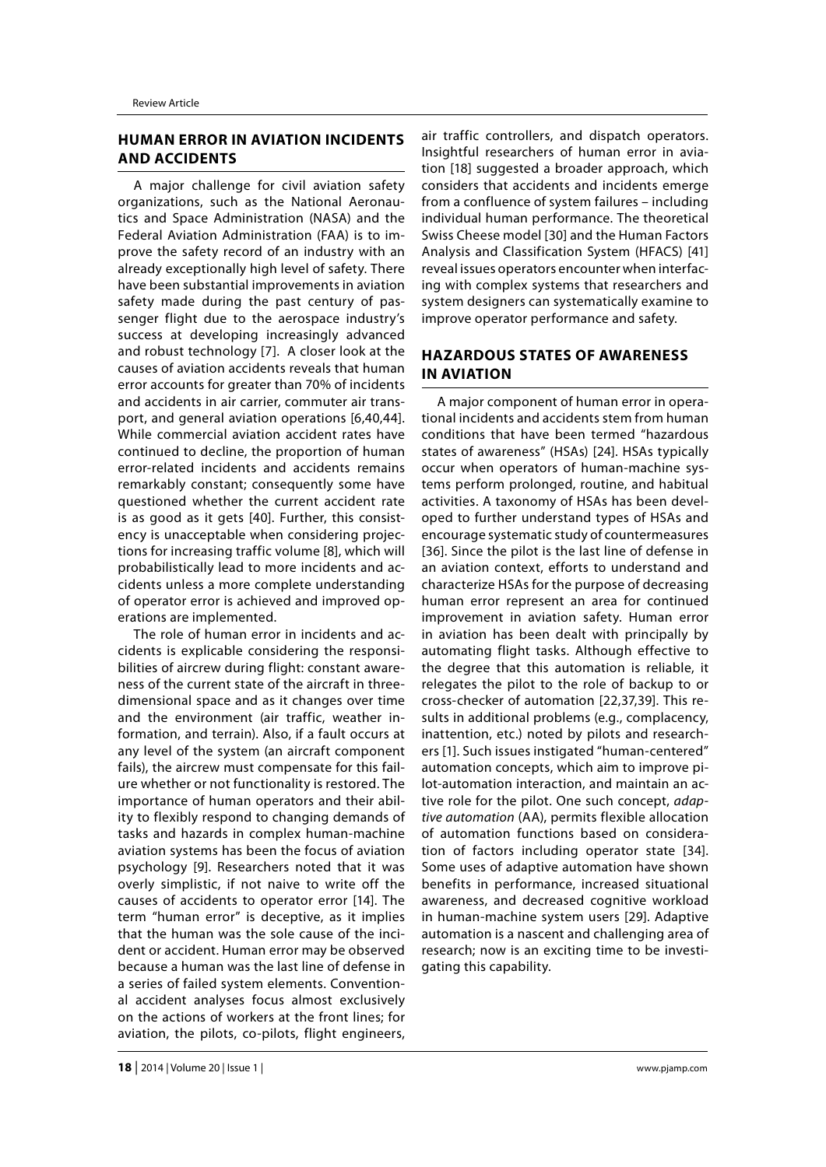## **HUMAN ERROR IN AVIATION INCIDENTS AND ACCIDENTS**

A major challenge for civil aviation safety organizations, such as the National Aeronautics and Space Administration (NASA) and the Federal Aviation Administration (FAA) is to improve the safety record of an industry with an already exceptionally high level of safety. There have been substantial improvements in aviation safety made during the past century of passenger flight due to the aerospace industry's success at developing increasingly advanced and robust technology [7]. A closer look at the causes of aviation accidents reveals that human error accounts for greater than 70% of incidents and accidents in air carrier, commuter air transport, and general aviation operations [6,40,44]. While commercial aviation accident rates have continued to decline, the proportion of human error-related incidents and accidents remains remarkably constant; consequently some have questioned whether the current accident rate is as good as it gets [40]. Further, this consistency is unacceptable when considering projections for increasing traffic volume [8], which will probabilistically lead to more incidents and accidents unless a more complete understanding of operator error is achieved and improved operations are implemented.

The role of human error in incidents and accidents is explicable considering the responsibilities of aircrew during flight: constant awareness of the current state of the aircraft in threedimensional space and as it changes over time and the environment (air traffic, weather information, and terrain). Also, if a fault occurs at any level of the system (an aircraft component fails), the aircrew must compensate for this failure whether or not functionality is restored. The importance of human operators and their ability to flexibly respond to changing demands of tasks and hazards in complex human-machine aviation systems has been the focus of aviation psychology [9]. Researchers noted that it was overly simplistic, if not naive to write off the causes of accidents to operator error [14]. The term "human error" is deceptive, as it implies that the human was the sole cause of the incident or accident. Human error may be observed because a human was the last line of defense in a series of failed system elements. Conventional accident analyses focus almost exclusively on the actions of workers at the front lines; for aviation, the pilots, co-pilots, flight engineers,

air traffic controllers, and dispatch operators. Insightful researchers of human error in aviation [18] suggested a broader approach, which considers that accidents and incidents emerge from a confluence of system failures – including individual human performance. The theoretical Swiss Cheese model [30] and the Human Factors Analysis and Classification System (HFACS) [41] reveal issues operators encounter when interfacing with complex systems that researchers and system designers can systematically examine to improve operator performance and safety.

## **HAZARDOUS STATES OF AWARENESS IN AVIATION**

A major component of human error in operational incidents and accidents stem from human conditions that have been termed "hazardous states of awareness" (HSAs) [24]. HSAs typically occur when operators of human-machine systems perform prolonged, routine, and habitual activities. A taxonomy of HSAs has been developed to further understand types of HSAs and encourage systematic study of countermeasures [36]. Since the pilot is the last line of defense in an aviation context, efforts to understand and characterize HSAs for the purpose of decreasing human error represent an area for continued improvement in aviation safety. Human error in aviation has been dealt with principally by automating flight tasks. Although effective to the degree that this automation is reliable, it relegates the pilot to the role of backup to or cross-checker of automation [22,37,39]. This results in additional problems (e.g., complacency, inattention, etc.) noted by pilots and researchers [1]. Such issues instigated "human-centered" automation concepts, which aim to improve pilot-automation interaction, and maintain an active role for the pilot. One such concept, *adaptive automation* (AA), permits flexible allocation of automation functions based on consideration of factors including operator state [34]. Some uses of adaptive automation have shown benefits in performance, increased situational awareness, and decreased cognitive workload in human-machine system users [29]. Adaptive automation is a nascent and challenging area of research; now is an exciting time to be investigating this capability.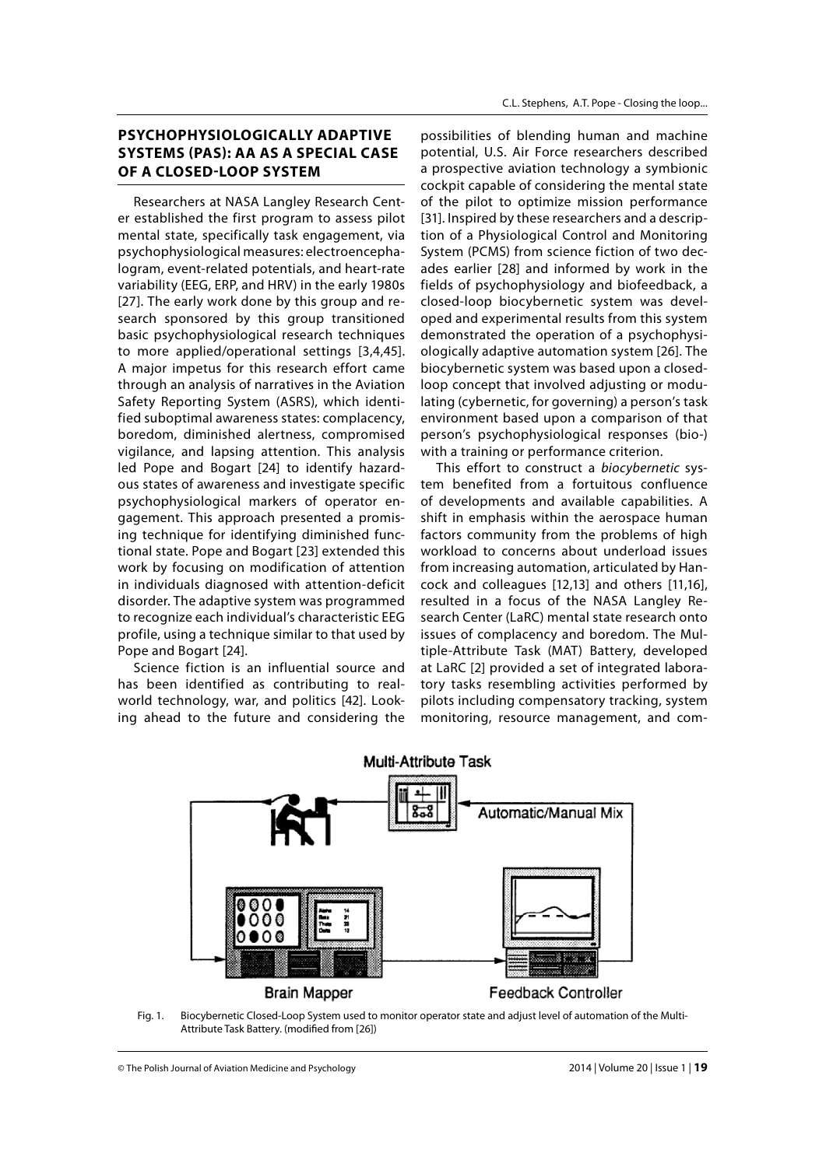## **PSYCHOPHYSIOLOGICALLY ADAPTIVE SYSTEMS (PAS): AA AS A SPECIAL CASE OF A CLOSED-LOOP SYSTEM**

Researchers at NASA Langley Research Center established the first program to assess pilot mental state, specifically task engagement, via psychophysiological measures: electroencephalogram, event-related potentials, and heart-rate variability (EEG, ERP, and HRV) in the early 1980s [27]. The early work done by this group and research sponsored by this group transitioned basic psychophysiological research techniques to more applied/operational settings [3,4,45]. A major impetus for this research effort came through an analysis of narratives in the Aviation Safety Reporting System (ASRS), which identified suboptimal awareness states: complacency, boredom, diminished alertness, compromised vigilance, and lapsing attention. This analysis led Pope and Bogart [24] to identify hazardous states of awareness and investigate specific psychophysiological markers of operator engagement. This approach presented a promising technique for identifying diminished functional state. Pope and Bogart [23] extended this work by focusing on modification of attention in individuals diagnosed with attention-deficit disorder. The adaptive system was programmed to recognize each individual's characteristic EEG profile, using a technique similar to that used by Pope and Bogart [24].

Science fiction is an influential source and has been identified as contributing to realworld technology, war, and politics [42]. Looking ahead to the future and considering the

possibilities of blending human and machine potential, U.S. Air Force researchers described a prospective aviation technology a symbionic cockpit capable of considering the mental state of the pilot to optimize mission performance [31]. Inspired by these researchers and a description of a Physiological Control and Monitoring System (PCMS) from science fiction of two decades earlier [28] and informed by work in the fields of psychophysiology and biofeedback, a closed-loop biocybernetic system was developed and experimental results from this system demonstrated the operation of a psychophysiologically adaptive automation system [26]. The biocybernetic system was based upon a closedloop concept that involved adjusting or modulating (cybernetic, for governing) a person's task environment based upon a comparison of that person's psychophysiological responses (bio-) with a training or performance criterion.

This effort to construct a *biocybernetic* system benefited from a fortuitous confluence of developments and available capabilities. A shift in emphasis within the aerospace human factors community from the problems of high workload to concerns about underload issues from increasing automation, articulated by Hancock and colleagues [12,13] and others [11,16], resulted in a focus of the NASA Langley Research Center (LaRC) mental state research onto issues of complacency and boredom. The Multiple-Attribute Task (MAT) Battery, developed at LaRC [2] provided a set of integrated laboratory tasks resembling activities performed by pilots including compensatory tracking, system monitoring, resource management, and com-



Fig. 1. Biocybernetic Closed-Loop System used to monitor operator state and adjust level of automation of the Multi-Attribute Task Battery. (modified from [26])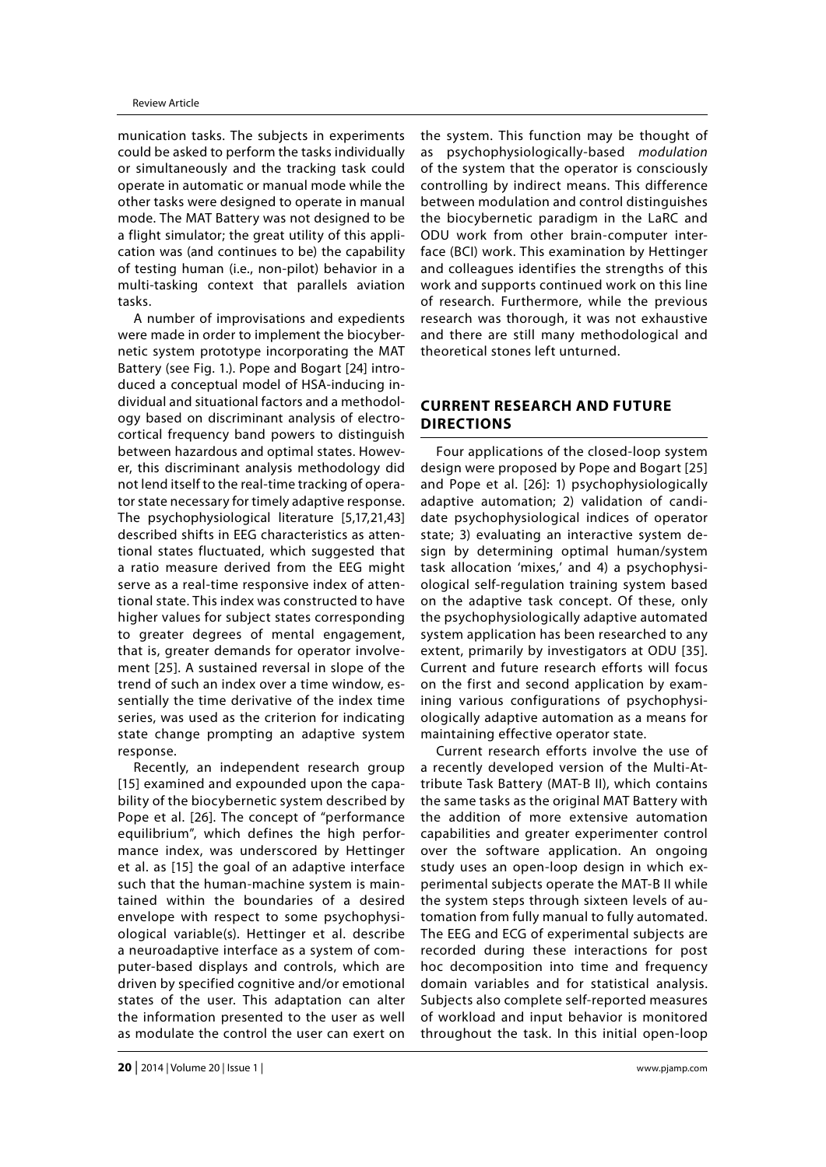munication tasks. The subjects in experiments could be asked to perform the tasks individually or simultaneously and the tracking task could operate in automatic or manual mode while the other tasks were designed to operate in manual mode. The MAT Battery was not designed to be a flight simulator; the great utility of this application was (and continues to be) the capability of testing human (i.e., non-pilot) behavior in a multi-tasking context that parallels aviation tasks.

A number of improvisations and expedients were made in order to implement the biocybernetic system prototype incorporating the MAT Battery (see Fig. 1.). Pope and Bogart [24] introduced a conceptual model of HSA-inducing individual and situational factors and a methodology based on discriminant analysis of electrocortical frequency band powers to distinguish between hazardous and optimal states. However, this discriminant analysis methodology did not lend itself to the real-time tracking of operator state necessary for timely adaptive response. The psychophysiological literature [5,17,21,43] described shifts in EEG characteristics as attentional states fluctuated, which suggested that a ratio measure derived from the EEG might serve as a real-time responsive index of attentional state. This index was constructed to have higher values for subject states corresponding to greater degrees of mental engagement, that is, greater demands for operator involvement [25]. A sustained reversal in slope of the trend of such an index over a time window, essentially the time derivative of the index time series, was used as the criterion for indicating state change prompting an adaptive system response.

Recently, an independent research group [15] examined and expounded upon the capability of the biocybernetic system described by Pope et al. [26]. The concept of "performance equilibrium", which defines the high performance index, was underscored by Hettinger et al. as [15] the goal of an adaptive interface such that the human-machine system is maintained within the boundaries of a desired envelope with respect to some psychophysiological variable(s). Hettinger et al. describe a neuroadaptive interface as a system of computer-based displays and controls, which are driven by specified cognitive and/or emotional states of the user. This adaptation can alter the information presented to the user as well as modulate the control the user can exert on

the system. This function may be thought of as psychophysiologically-based *modulation* of the system that the operator is consciously controlling by indirect means. This difference between modulation and control distinguishes the biocybernetic paradigm in the LaRC and ODU work from other brain-computer interface (BCI) work. This examination by Hettinger and colleagues identifies the strengths of this work and supports continued work on this line of research. Furthermore, while the previous research was thorough, it was not exhaustive and there are still many methodological and theoretical stones left unturned.

# **CURRENT RESEARCH AND FUTURE DIRECTIONS**

Four applications of the closed-loop system design were proposed by Pope and Bogart [25] and Pope et al. [26]: 1) psychophysiologically adaptive automation; 2) validation of candidate psychophysiological indices of operator state; 3) evaluating an interactive system design by determining optimal human/system task allocation 'mixes,' and 4) a psychophysiological self-regulation training system based on the adaptive task concept. Of these, only the psychophysiologically adaptive automated system application has been researched to any extent, primarily by investigators at ODU [35]. Current and future research efforts will focus on the first and second application by examining various configurations of psychophysiologically adaptive automation as a means for maintaining effective operator state.

Current research efforts involve the use of a recently developed version of the Multi-Attribute Task Battery (MAT-B II), which contains the same tasks as the original MAT Battery with the addition of more extensive automation capabilities and greater experimenter control over the software application. An ongoing study uses an open-loop design in which experimental subjects operate the MAT-B II while the system steps through sixteen levels of automation from fully manual to fully automated. The EEG and ECG of experimental subjects are recorded during these interactions for post hoc decomposition into time and frequency domain variables and for statistical analysis. Subjects also complete self-reported measures of workload and input behavior is monitored throughout the task. In this initial open-loop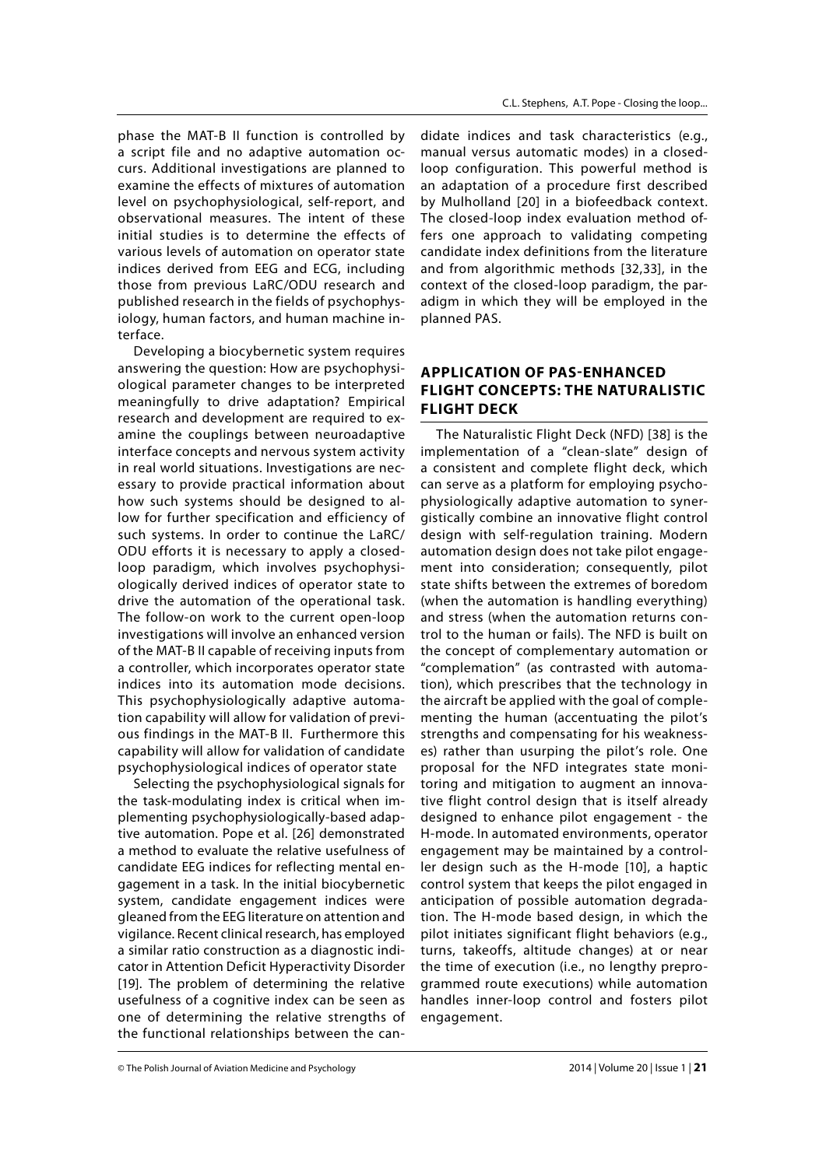phase the MAT-B II function is controlled by a script file and no adaptive automation occurs. Additional investigations are planned to examine the effects of mixtures of automation level on psychophysiological, self-report, and observational measures. The intent of these initial studies is to determine the effects of various levels of automation on operator state indices derived from EEG and ECG, including those from previous LaRC/ODU research and published research in the fields of psychophysiology, human factors, and human machine interface.

Developing a biocybernetic system requires answering the question: How are psychophysiological parameter changes to be interpreted meaningfully to drive adaptation? Empirical research and development are required to examine the couplings between neuroadaptive interface concepts and nervous system activity in real world situations. Investigations are necessary to provide practical information about how such systems should be designed to allow for further specification and efficiency of such systems. In order to continue the LaRC/ ODU efforts it is necessary to apply a closedloop paradigm, which involves psychophysiologically derived indices of operator state to drive the automation of the operational task. The follow-on work to the current open-loop investigations will involve an enhanced version of the MAT-B II capable of receiving inputs from a controller, which incorporates operator state indices into its automation mode decisions. This psychophysiologically adaptive automation capability will allow for validation of previous findings in the MAT-B II. Furthermore this capability will allow for validation of candidate psychophysiological indices of operator state

Selecting the psychophysiological signals for the task-modulating index is critical when implementing psychophysiologically-based adaptive automation. Pope et al. [26] demonstrated a method to evaluate the relative usefulness of candidate EEG indices for reflecting mental engagement in a task. In the initial biocybernetic system, candidate engagement indices were gleaned from the EEG literature on attention and vigilance. Recent clinical research, has employed a similar ratio construction as a diagnostic indicator in Attention Deficit Hyperactivity Disorder [19]. The problem of determining the relative usefulness of a cognitive index can be seen as one of determining the relative strengths of the functional relationships between the candidate indices and task characteristics (e.g., manual versus automatic modes) in a closedloop configuration. This powerful method is an adaptation of a procedure first described by Mulholland [20] in a biofeedback context. The closed-loop index evaluation method offers one approach to validating competing candidate index definitions from the literature and from algorithmic methods [32,33], in the context of the closed-loop paradigm, the paradigm in which they will be employed in the planned PAS.

## **APPLICATION OF PAS-ENHANCED FLIGHT CONCEPTS: THE NATURALISTIC FLIGHT DECK**

The Naturalistic Flight Deck (NFD) [38] is the implementation of a "clean-slate" design of a consistent and complete flight deck, which can serve as a platform for employing psychophysiologically adaptive automation to synergistically combine an innovative flight control design with self-regulation training. Modern automation design does not take pilot engagement into consideration; consequently, pilot state shifts between the extremes of boredom (when the automation is handling everything) and stress (when the automation returns control to the human or fails). The NFD is built on the concept of complementary automation or "complemation" (as contrasted with automation), which prescribes that the technology in the aircraft be applied with the goal of complementing the human (accentuating the pilot's strengths and compensating for his weaknesses) rather than usurping the pilot's role. One proposal for the NFD integrates state monitoring and mitigation to augment an innovative flight control design that is itself already designed to enhance pilot engagement - the H-mode. In automated environments, operator engagement may be maintained by a controller design such as the H-mode [10], a haptic control system that keeps the pilot engaged in anticipation of possible automation degradation. The H-mode based design, in which the pilot initiates significant flight behaviors (e.g., turns, takeoffs, altitude changes) at or near the time of execution (i.e., no lengthy preprogrammed route executions) while automation handles inner-loop control and fosters pilot engagement.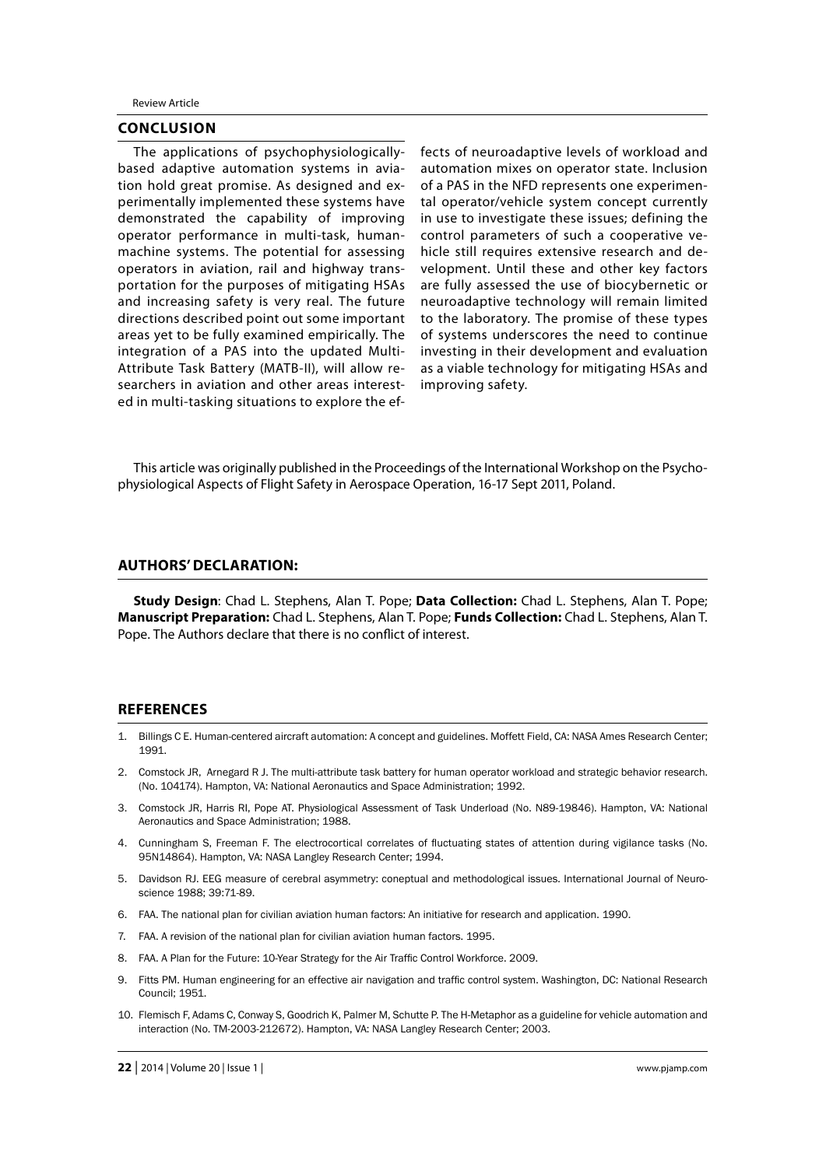Review Article

#### **CONCLUSION**

The applications of psychophysiologicallybased adaptive automation systems in aviation hold great promise. As designed and experimentally implemented these systems have demonstrated the capability of improving operator performance in multi-task, humanmachine systems. The potential for assessing operators in aviation, rail and highway transportation for the purposes of mitigating HSAs and increasing safety is very real. The future directions described point out some important areas yet to be fully examined empirically. The integration of a PAS into the updated Multi-Attribute Task Battery (MATB-II), will allow researchers in aviation and other areas interested in multi-tasking situations to explore the effects of neuroadaptive levels of workload and automation mixes on operator state. Inclusion of a PAS in the NFD represents one experimental operator/vehicle system concept currently in use to investigate these issues; defining the control parameters of such a cooperative vehicle still requires extensive research and development. Until these and other key factors are fully assessed the use of biocybernetic or neuroadaptive technology will remain limited to the laboratory. The promise of these types of systems underscores the need to continue investing in their development and evaluation as a viable technology for mitigating HSAs and improving safety.

This article was originally published in the Proceedings of the International Workshop on the Psychophysiological Aspects of Flight Safety in Aerospace Operation, 16-17 Sept 2011, Poland.

#### **AUTHORS' DECLARATION:**

**Study Design**: Chad L. Stephens, Alan T. Pope; **Data Collection:** Chad L. Stephens, Alan T. Pope; **Manuscript Preparation:** Chad L. Stephens, Alan T. Pope; **Funds Collection:** Chad L. Stephens, Alan T. Pope. The Authors declare that there is no conflict of interest.

#### **REFERENCES**

- 1. Billings C E. Human-centered aircraft automation: A concept and guidelines. Moffett Field, CA: NASA Ames Research Center; 1991.
- 2. Comstock JR, Arnegard R J. The multi-attribute task battery for human operator workload and strategic behavior research. (No. 104174). Hampton, VA: National Aeronautics and Space Administration; 1992.
- 3. Comstock JR, Harris RI, Pope AT. Physiological Assessment of Task Underload (No. N89-19846). Hampton, VA: National Aeronautics and Space Administration; 1988.
- 4. Cunningham S, Freeman F. The electrocortical correlates of fluctuating states of attention during vigilance tasks (No. 95N14864). Hampton, VA: NASA Langley Research Center; 1994.
- 5. Davidson RJ. EEG measure of cerebral asymmetry: coneptual and methodological issues. International Journal of Neuroscience 1988; 39:71-89.
- 6. FAA. The national plan for civilian aviation human factors: An initiative for research and application. 1990.
- 7. FAA. A revision of the national plan for civilian aviation human factors. 1995.
- 8. FAA. A Plan for the Future: 10-Year Strategy for the Air Traffic Control Workforce. 2009.
- 9. Fitts PM. Human engineering for an effective air navigation and traffic control system. Washington, DC: National Research Council; 1951.
- 10. Flemisch F, Adams C, Conway S, Goodrich K, Palmer M, Schutte P. The H-Metaphor as a guideline for vehicle automation and interaction (No. TM-2003-212672). Hampton, VA: NASA Langley Research Center; 2003.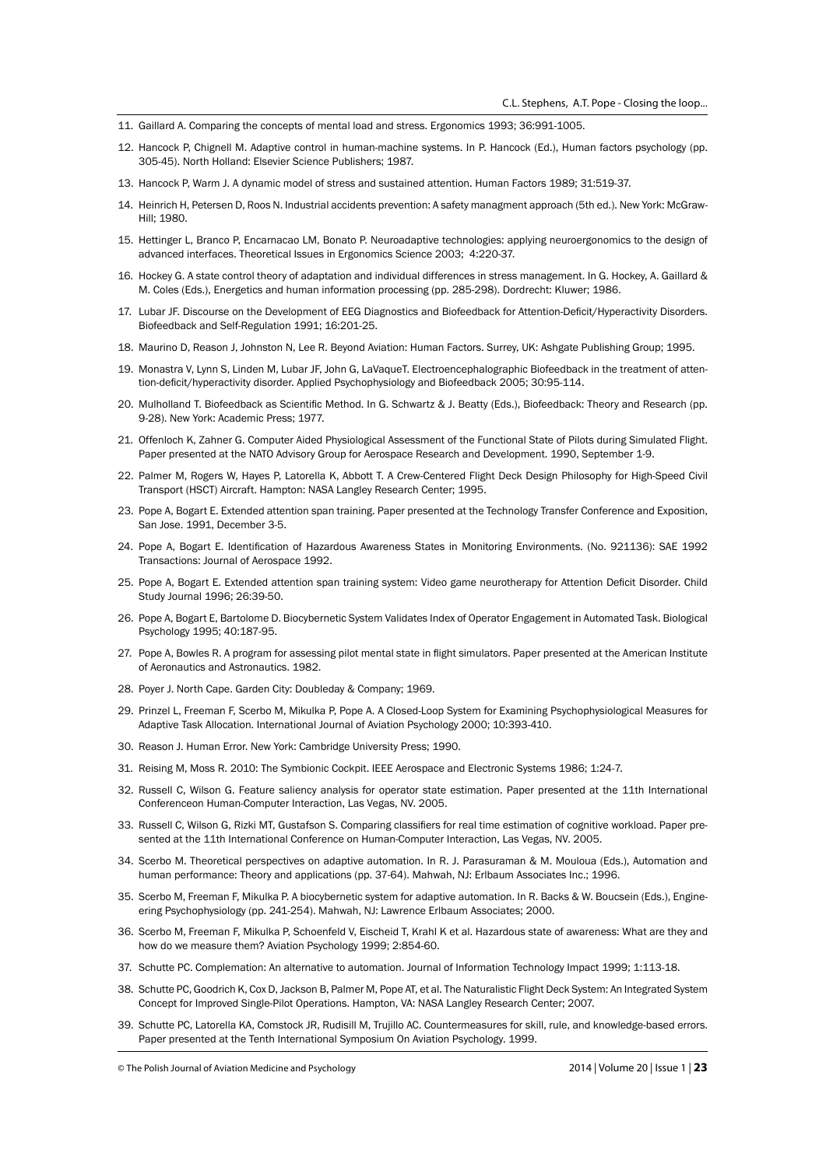- 11. Gaillard A. Comparing the concepts of mental load and stress. Ergonomics 1993; 36:991-1005.
- 12. Hancock P, Chignell M. Adaptive control in human-machine systems. In P. Hancock (Ed.), Human factors psychology (pp. 305-45). North Holland: Elsevier Science Publishers; 1987.
- 13. Hancock P, Warm J. A dynamic model of stress and sustained attention. Human Factors 1989; 31:519-37.
- 14. Heinrich H, Petersen D, Roos N. Industrial accidents prevention: A safety managment approach (5th ed.). New York: McGraw-Hill; 1980.
- 15. Hettinger L, Branco P, Encarnacao LM, Bonato P. Neuroadaptive technologies: applying neuroergonomics to the design of advanced interfaces. Theoretical Issues in Ergonomics Science 2003; 4:220-37.
- 16. Hockey G. A state control theory of adaptation and individual differences in stress management. In G. Hockey, A. Gaillard & M. Coles (Eds.), Energetics and human information processing (pp. 285-298). Dordrecht: Kluwer; 1986.
- 17. Lubar JF. Discourse on the Development of EEG Diagnostics and Biofeedback for Attention-Deficit/Hyperactivity Disorders. Biofeedback and Self-Regulation 1991; 16:201-25.
- 18. Maurino D, Reason J, Johnston N, Lee R. Beyond Aviation: Human Factors. Surrey, UK: Ashgate Publishing Group; 1995.
- 19. Monastra V, Lynn S, Linden M, Lubar JF, John G, LaVaqueT. Electroencephalographic Biofeedback in the treatment of attention-deficit/hyperactivity disorder. Applied Psychophysiology and Biofeedback 2005; 30:95-114.
- 20. Mulholland T. Biofeedback as Scientific Method. In G. Schwartz & J. Beatty (Eds.), Biofeedback: Theory and Research (pp. 9-28). New York: Academic Press; 1977.
- 21. Offenloch K, Zahner G. Computer Aided Physiological Assessment of the Functional State of Pilots during Simulated Flight. Paper presented at the NATO Advisory Group for Aerospace Research and Development. 1990, September 1-9.
- 22. Palmer M, Rogers W, Hayes P, Latorella K, Abbott T. A Crew-Centered Flight Deck Design Philosophy for High-Speed Civil Transport (HSCT) Aircraft. Hampton: NASA Langley Research Center; 1995.
- 23. Pope A, Bogart E. Extended attention span training. Paper presented at the Technology Transfer Conference and Exposition, San Jose. 1991, December 3-5.
- 24. Pope A, Bogart E. Identification of Hazardous Awareness States in Monitoring Environments. (No. 921136): SAE 1992 Transactions: Journal of Aerospace 1992.
- 25. Pope A, Bogart E. Extended attention span training system: Video game neurotherapy for Attention Deficit Disorder. Child Study Journal 1996; 26:39-50.
- 26. Pope A, Bogart E, Bartolome D. Biocybernetic System Validates Index of Operator Engagement in Automated Task. Biological Psychology 1995; 40:187-95.
- 27. Pope A, Bowles R. A program for assessing pilot mental state in flight simulators. Paper presented at the American Institute of Aeronautics and Astronautics. 1982.
- 28. Poyer J. North Cape. Garden City: Doubleday & Company; 1969.
- 29. Prinzel L, Freeman F, Scerbo M, Mikulka P, Pope A. A Closed-Loop System for Examining Psychophysiological Measures for Adaptive Task Allocation. International Journal of Aviation Psychology 2000; 10:393-410.
- 30. Reason J. Human Error. New York: Cambridge University Press; 1990.
- 31. Reising M, Moss R. 2010: The Symbionic Cockpit. IEEE Aerospace and Electronic Systems 1986; 1:24-7.
- 32. Russell C, Wilson G. Feature saliency analysis for operator state estimation. Paper presented at the 11th International Conferenceon Human-Computer Interaction, Las Vegas, NV. 2005.
- 33. Russell C, Wilson G, Rizki MT, Gustafson S. Comparing classifiers for real time estimation of cognitive workload. Paper presented at the 11th International Conference on Human-Computer Interaction, Las Vegas, NV. 2005.
- 34. Scerbo M. Theoretical perspectives on adaptive automation. In R. J. Parasuraman & M. Mouloua (Eds.), Automation and human performance: Theory and applications (pp. 37-64). Mahwah, NJ: Erlbaum Associates Inc.: 1996.
- 35. Scerbo M, Freeman F, Mikulka P. A biocybernetic system for adaptive automation. In R. Backs & W. Boucsein (Eds.), Engineering Psychophysiology (pp. 241-254). Mahwah, NJ: Lawrence Erlbaum Associates; 2000.
- 36. Scerbo M, Freeman F, Mikulka P, Schoenfeld V, Eischeid T, Krahl K et al. Hazardous state of awareness: What are they and how do we measure them? Aviation Psychology 1999; 2:854-60.
- 37. Schutte PC. Complemation: An alternative to automation. Journal of Information Technology Impact 1999; 1:113-18.
- 38. Schutte PC, Goodrich K, Cox D, Jackson B, Palmer M, Pope AT, et al. The Naturalistic Flight Deck System: An Integrated System Concept for Improved Single-Pilot Operations. Hampton, VA: NASA Langley Research Center; 2007.
- 39. Schutte PC, Latorella KA, Comstock JR, Rudisill M, Trujillo AC. Countermeasures for skill, rule, and knowledge-based errors. Paper presented at the Tenth International Symposium On Aviation Psychology. 1999.